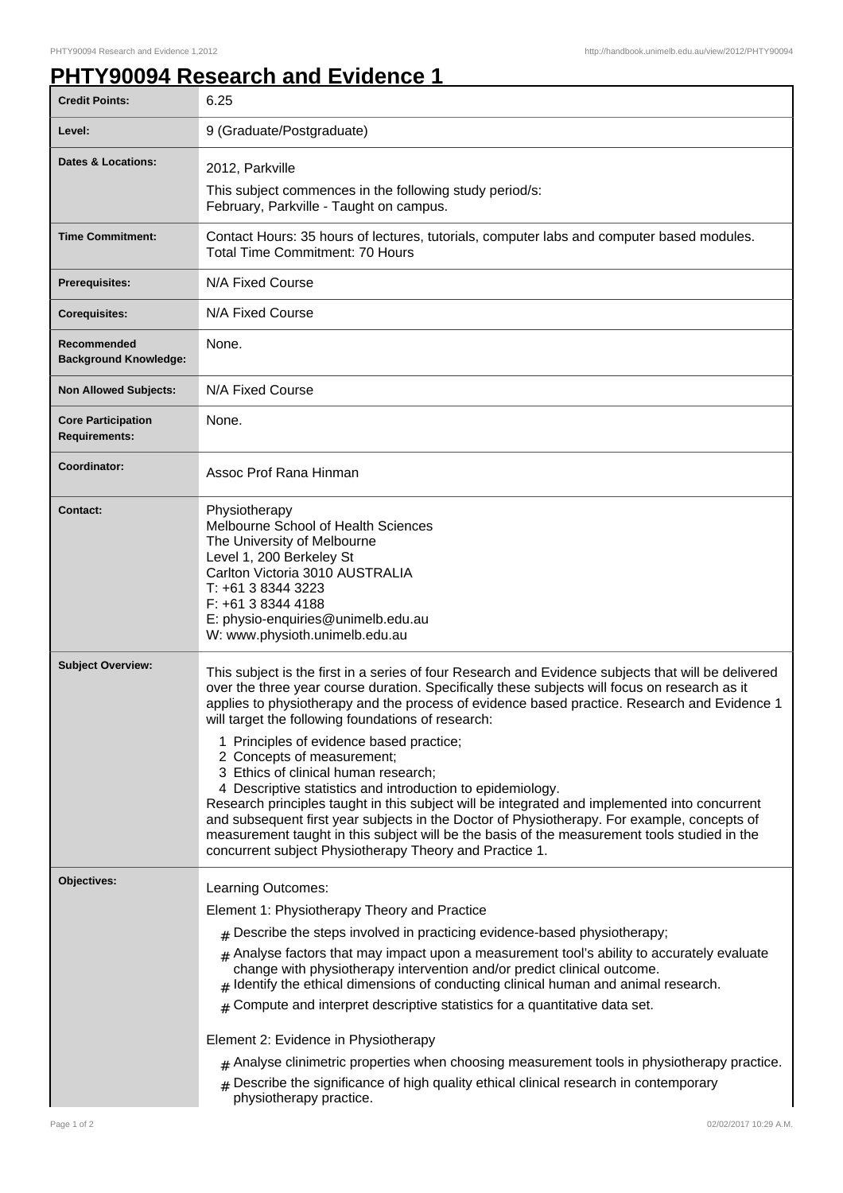## **PHTY90094 Research and Evidence 1**

| <b>Credit Points:</b>                             | 6.25                                                                                                                                                                                                                                                                                                                                                                                                                                                                                                                                                                                                                                                                                                                                                                                                                                                                                                  |
|---------------------------------------------------|-------------------------------------------------------------------------------------------------------------------------------------------------------------------------------------------------------------------------------------------------------------------------------------------------------------------------------------------------------------------------------------------------------------------------------------------------------------------------------------------------------------------------------------------------------------------------------------------------------------------------------------------------------------------------------------------------------------------------------------------------------------------------------------------------------------------------------------------------------------------------------------------------------|
| Level:                                            | 9 (Graduate/Postgraduate)                                                                                                                                                                                                                                                                                                                                                                                                                                                                                                                                                                                                                                                                                                                                                                                                                                                                             |
| <b>Dates &amp; Locations:</b>                     | 2012, Parkville                                                                                                                                                                                                                                                                                                                                                                                                                                                                                                                                                                                                                                                                                                                                                                                                                                                                                       |
|                                                   | This subject commences in the following study period/s:<br>February, Parkville - Taught on campus.                                                                                                                                                                                                                                                                                                                                                                                                                                                                                                                                                                                                                                                                                                                                                                                                    |
| <b>Time Commitment:</b>                           | Contact Hours: 35 hours of lectures, tutorials, computer labs and computer based modules.<br><b>Total Time Commitment: 70 Hours</b>                                                                                                                                                                                                                                                                                                                                                                                                                                                                                                                                                                                                                                                                                                                                                                   |
| <b>Prerequisites:</b>                             | N/A Fixed Course                                                                                                                                                                                                                                                                                                                                                                                                                                                                                                                                                                                                                                                                                                                                                                                                                                                                                      |
| <b>Corequisites:</b>                              | N/A Fixed Course                                                                                                                                                                                                                                                                                                                                                                                                                                                                                                                                                                                                                                                                                                                                                                                                                                                                                      |
| Recommended<br><b>Background Knowledge:</b>       | None.                                                                                                                                                                                                                                                                                                                                                                                                                                                                                                                                                                                                                                                                                                                                                                                                                                                                                                 |
| <b>Non Allowed Subjects:</b>                      | N/A Fixed Course                                                                                                                                                                                                                                                                                                                                                                                                                                                                                                                                                                                                                                                                                                                                                                                                                                                                                      |
| <b>Core Participation</b><br><b>Requirements:</b> | None.                                                                                                                                                                                                                                                                                                                                                                                                                                                                                                                                                                                                                                                                                                                                                                                                                                                                                                 |
| Coordinator:                                      | Assoc Prof Rana Hinman                                                                                                                                                                                                                                                                                                                                                                                                                                                                                                                                                                                                                                                                                                                                                                                                                                                                                |
| <b>Contact:</b>                                   | Physiotherapy<br>Melbourne School of Health Sciences<br>The University of Melbourne<br>Level 1, 200 Berkeley St<br>Carlton Victoria 3010 AUSTRALIA<br>T: +61 3 8344 3223<br>F: +61 3 8344 4188<br>E: physio-enquiries@unimelb.edu.au<br>W: www.physioth.unimelb.edu.au                                                                                                                                                                                                                                                                                                                                                                                                                                                                                                                                                                                                                                |
| <b>Subject Overview:</b>                          | This subject is the first in a series of four Research and Evidence subjects that will be delivered<br>over the three year course duration. Specifically these subjects will focus on research as it<br>applies to physiotherapy and the process of evidence based practice. Research and Evidence 1<br>will target the following foundations of research:<br>1 Principles of evidence based practice;<br>2 Concepts of measurement;<br>3 Ethics of clinical human research;<br>4 Descriptive statistics and introduction to epidemiology.<br>Research principles taught in this subject will be integrated and implemented into concurrent<br>and subsequent first year subjects in the Doctor of Physiotherapy. For example, concepts of<br>measurement taught in this subject will be the basis of the measurement tools studied in the<br>concurrent subject Physiotherapy Theory and Practice 1. |
| Objectives:                                       | Learning Outcomes:<br>Element 1: Physiotherapy Theory and Practice<br>$#$ Describe the steps involved in practicing evidence-based physiotherapy;<br>$#$ Analyse factors that may impact upon a measurement tool's ability to accurately evaluate<br>change with physiotherapy intervention and/or predict clinical outcome.<br>Identify the ethical dimensions of conducting clinical human and animal research.<br>Compute and interpret descriptive statistics for a quantitative data set.<br>#<br>Element 2: Evidence in Physiotherapy<br>$_{\#}$ Analyse clinimetric properties when choosing measurement tools in physiotherapy practice.<br>$*$ Describe the significance of high quality ethical clinical research in contemporary<br>physiotherapy practice.                                                                                                                                |